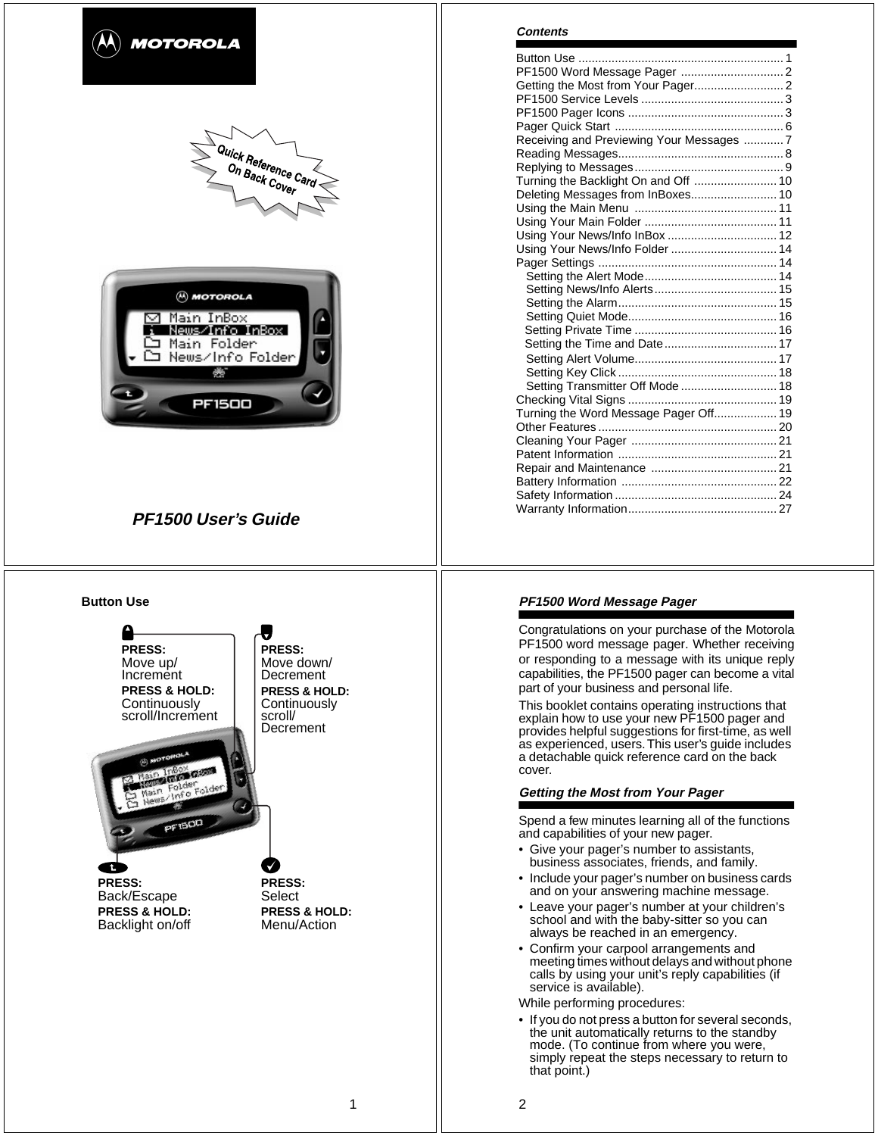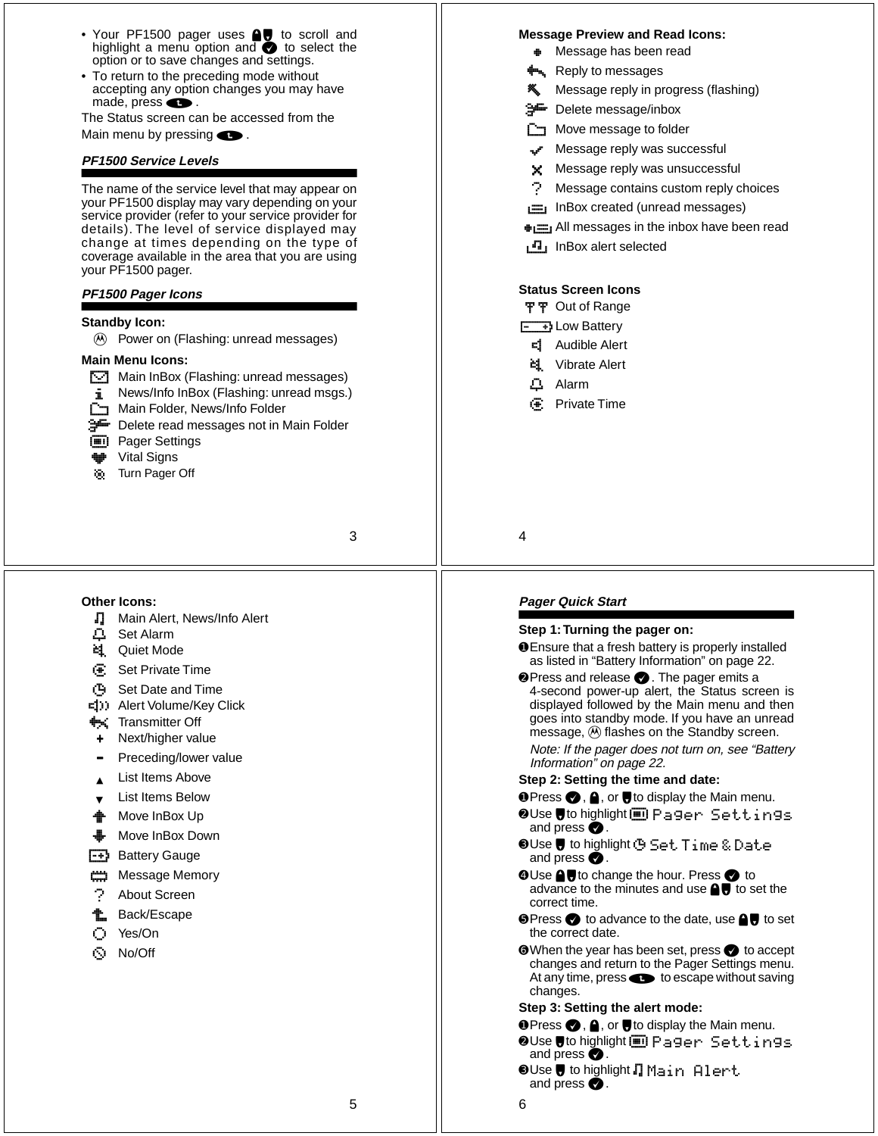- Your PF1500 pager uses **AU** to scroll and highlight a menu option and **O** to select the option or to save changes and settings.
- To return to the preceding mode without accepting any option changes you may have made, press $\bullet$ .

The Status screen can be accessed from the Main menu by pressing  $\bullet$ .

#### **PF1500 Service Levels**

The name of the service level that may appear on your PF1500 display may vary depending on your service provider (refer to your service provider for details). The level of service displayed may change at times depending on the type of coverage available in the area that you are using your PF1500 pager.

#### **PF1500 Pager Icons**

# **Standby Icon:**

(A) Power on (Flashing: unread messages)

#### **Main Menu Icons:**

- $\Box$  Main InBox (Flashing: unread messages)
- **j** News/Info InBox (Flashing: unread msgs.)
- Main Folder, News/Info Folder
- **J** Delete read messages not in Main Folder
- **ig Pager Settings**
- **Vital Signs**
- **I** Turn Pager Off

# 3

5

**Other Icons:**

- L Main Alert, News/Info Alert
- **△ Set Alarm**
- **k1** Quiet Mode
- **图 Set Private Time**
- M Set Date and Time
- $\epsilon$ (i)) Alert Volume/Key Click
- **A** Transmitter Off
- Next/higher value
- Preceding/lower value
- List Items Above
- List Items Below
- $\triangleq$  Move InBox Up
- Move InBox Down
- $\left[\frac{1}{2}, \frac{1}{2}\right]$  Battery Gauge
- **: Message Memory**
- About Screen
- **t** Back/Escape
- ? Yes/On
- @ No/Off

#### **Message Preview and Read Icons:**

- Message has been read
- b Reply to messages
- Message reply in progress (flashing)
- **J** Delete message/inbox
- $\Gamma$  Move message to folder
- Message reply was successful
- **Message reply was unsuccessfull**
- Message contains custom reply choices
- n InBox created (unread messages)
- $\equiv$  All messages in the inbox have been read
- **n** InBox alert selected

# **Status Screen Icons**

- 平平 Out of Range
- $\boxed{-}$  Low Battery
- **d** Audible Alert
- **ki** Vibrate Alert
- Q Alarm
- *S* Private Time

4

#### **Pager Quick Start**

#### **Step 1: Turning the pager on:**

➊Ensure that a fresh battery is properly installed as listed in "Battery Information" on page 22.

 $\bullet$  Press and release  $\bullet$  . The pager emits a 4-second power-up alert, the Status screen is displayed followed by the Main menu and then goes into standby mode. If you have an unread message, 1 flashes on the Standby screen.

Note: If the pager does not turn on, see "Battery Information" on page 22.

- **Step 2: Setting the time and date:**
- **O** Press ●, A, or to display the Main menu.
- **⊘Use Uto highlight**[I] Pager Settings and press  $\bullet$ .
- $\bullet$  Use  $\blacksquare$  to highlight  $\odot$  <code>Set Time</code> & <code>Date</code> and press  $\bullet$ .
- **O**Use **A**U to change the hour. Press to advance to the minutes and use  $\bigcirc$  to set the correct time.
- **I Press to advance to the date, use U to set** the correct date.
- **O** When the year has been set, press to accept changes and return to the Pager Settings menu. At any time, press **to** to escape without saving changes.

#### **Step 3: Setting the alert mode:**

- **O Press O, A, or Upstar** to display the Main menu.
- **⊘Use #to highlight in Pager Settings** and press  $\bigcirc$ .
- $\bm{\Theta}$ Use $\bm{\bm{\forall}}$  to highlight  $\Pi$  Main  $\bm{\mathsf{Albert}}$ and press  $\bullet$ .

6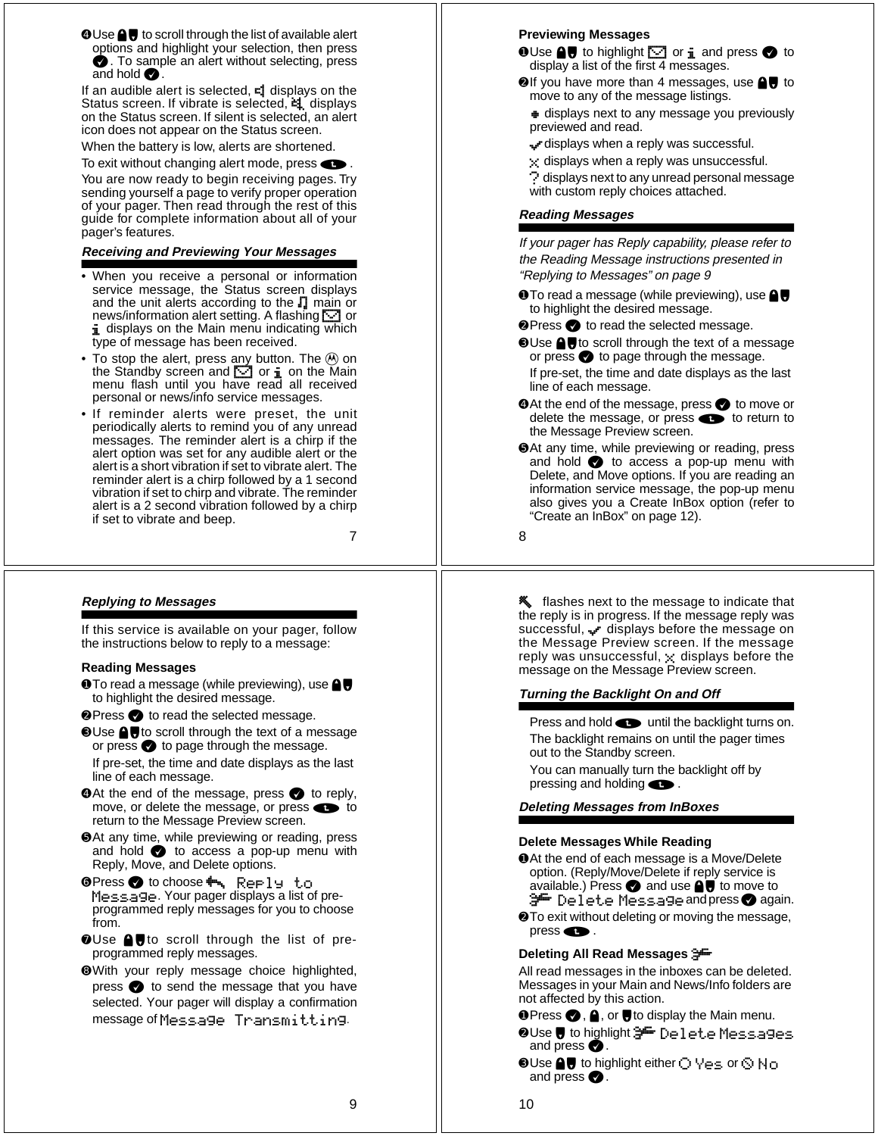**O**Use **■ U** to scroll through the list of available alert options and highlight your selection, then press  $\bullet$ . To sample an alert without selecting, press and hold  $\bullet$ .

If an audible alert is selected,  $\blacksquare$  displays on the Status screen. If vibrate is selected,  $\equiv$  displays on the Status screen. If silent is selected, an alert icon does not appear on the Status screen.

When the battery is low, alerts are shortened.

To exit without changing alert mode, press  $\bullet$ . You are now ready to begin receiving pages. Try sending yourself a page to verify proper operation of your pager. Then read through the rest of this guide for complete information about all of your pager's features.

# **Receiving and Previewing Your Messages**

- When you receive a personal or information service message, the Status screen displays and the unit alerts according to the L main or news/information alert setting. A flashing **<a>** or i displays on the Main menu indicating which type of message has been received.
- To stop the alert, press any button. The  $\textcircled{\tiny{A}}$  on the Standby screen and  $\Box$  or  $\mathbf i$  on the Main menu flash until you have read all received personal or news/info service messages.
- If reminder alerts were preset, the unit periodically alerts to remind you of any unread messages. The reminder alert is a chirp if the alert option was set for any audible alert or the alert is a short vibration if set to vibrate alert. The reminder alert is a chirp followed by a 1 second vibration if set to chirp and vibrate. The reminder alert is a 2 second vibration followed by a chirp if set to vibrate and beep.

7

# **Replying to Messages**

If this service is available on your pager, follow the instructions below to reply to a message:

#### **Reading Messages**

- **O** To read a message (while previewing), use **△** to highlight the desired message.
- **<sup>●</sup>Press to read the selected message.**
- **O**Use **■** to scroll through the text of a message or press  $\bullet$  to page through the message. If pre-set, the time and date displays as the last line of each message.
- **O** At the end of the message, press **O** to reply, move, or delete the message, or press  $\bullet\bullet$  to return to the Message Preview screen.
- ➎At any time, while previewing or reading, press and hold  $\bullet$  to access a pop-up menu with Reply, Move, and Delete options.
- ➏Press , to choose b Reply to Message. Your pager displays a list of preprogrammed reply messages for you to choose from.
- OUse **AU** to scroll through the list of preprogrammed reply messages.
- ➑With your reply message choice highlighted, press  $\bullet$  to send the message that you have selected. Your pager will display a confirmation message of Message Transmitting .

#### **Previewing Messages**

- $\bullet$  Use  $\bigcirc$  to highlight  $\bigcirc$  or  $\mathbf{i}$  and press  $\bullet$  to display a list of the first 4 messages.
- $\odot$  If you have more than 4 messages, use  $\odot$  to move to any of the message listings.
	- $\bullet$  displays next to any message you previously previewed and read.
	- Free displays when a reply was successful.
	- $\mathbf{x}$  displays when a reply was unsuccessful.
	- $\heartsuit$  displays next to any unread personal message with custom reply choices attached.

#### **Reading Messages**

If your pager has Reply capability, please refer to the Reading Message instructions presented in "Replying to Messages" on page 9

- $\bullet$  To read a message (while previewing), use  $\bullet$ . to highlight the desired message.
- **<sup>●</sup>Press to read the selected message.**
- **O**Use **■U** to scroll through the text of a message or press  $\bigcirc$  to page through the message.
	- If pre-set, the time and date displays as the last line of each message.
- ➍At the end of the message, press , to move or delete the message, or press  $\bullet\bullet$  to return to the Message Preview screen.
- ➎At any time, while previewing or reading, press and hold  $\bullet$  to access a pop-up menu with Delete, and Move options. If you are reading an information service message, the pop-up menu also gives you a Create InBox option (refer to "Create an InBox" on page 12).

8

**\*** flashes next to the message to indicate that<br>successful,  $\cdot$  r displays before the message reply was<br>uccessful,  $\cdot$  r displays before the message on<br>the Message Preview screen. If the message<br>energy was unccessful, the reply is in progress. If the message reply was successful, R displays before the message on the Message Preview screen. If the message reply was unsuccessful,  $\times$  displays before the message on the Message Preview screen.

#### **Turning the Backlight On and Off**

Press and hold  $\bullet$  until the backlight turns on. The backlight remains on until the pager times out to the Standby screen.

You can manually turn the backlight off by pressing and holding  $\bullet$ .

**Deleting Messages from InBoxes**

#### **Delete Messages While Reading**

- ➊At the end of each message is a Move/Delete option. (Reply/Move/Delete if reply service is available.) Press  $\bullet$  and use  $\bullet \bullet$  to move to <del>≫</del> Delete Messageandpress⊘again.
- ➋To exit without deleting or moving the message, press $\bullet$ .

#### **Deleting All Read Messages**  J

All read messages in the inboxes can be deleted. Messages in your Main and News/Info folders are not affected by this action.

- **O Press , A**, or  $\blacktriangledown$  to display the Main menu.
- **OUse @ to highlight 3<sup>DE</sup>** Delete Messages and press  $\bullet$ .
- $\bm{\Theta}$  Use  $\bm{\Theta}$  to highlight either  $\bigcirc$   $\forall$ es or  $\Diamond$   $\mathsf{Mo}$ and press  $\bullet$ .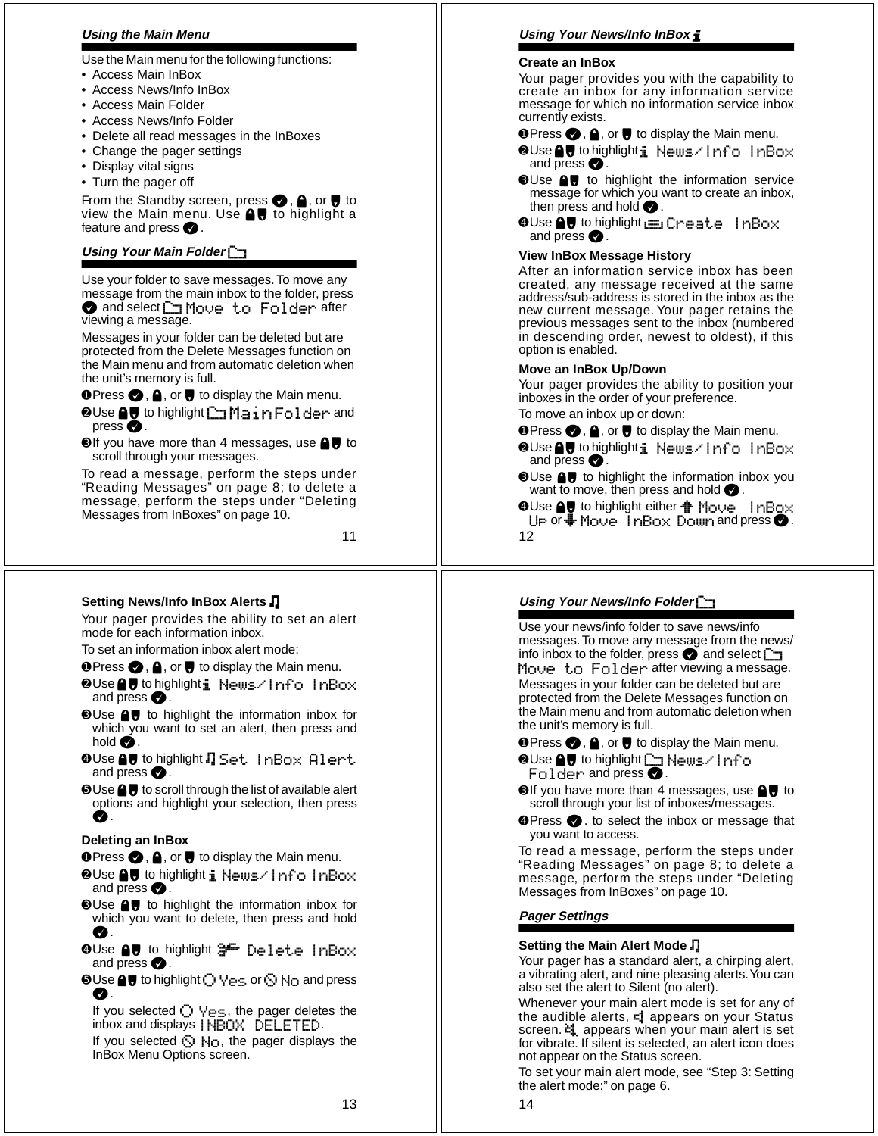# **Using the Main Menu**

Use the Main menu for the following functions:

- Access Main InBox
- Access News/Info InBox
- Access Main Folder
- Access News/Info Folder
- Delete all read messages in the InBoxes
- Change the pager settings
- Display vital signs
- Turn the pager off

From the Standby screen, press  $\bigcirc$ ,  $\bigcirc$ , or  $\bigcirc$  to view the Main menu. Use  $\bigoplus$  to highlight a feature and press  $\bullet$ .

# **Using Your Main Folder**  D

Use your folder to save messages. To move any message from the main inbox to the folder, press ● and select <
<br>
<u>
Online to Folder</u> after viewing a message.

Messages in your folder can be deleted but are protected from the Delete Messages function on the Main menu and from automatic deletion when the unit's memory is full.

 $\bullet$  Press  $\bullet$ ,  $\bullet$ , or  $\bullet$  to display the Main menu.

- **OUse AU** to highlight DiMain Folder and press  $\bullet$ .
- **O**If you have more than 4 messages, use **△** to scroll through your messages.

To read a message, perform the steps under "Reading Messages" on page 8; to delete a message, perform the steps under "Deleting Messages from InBoxes" on page 10.

11

# **Setting News/Info InBox Alerts**  L

Your pager provides the ability to set an alert mode for each information inbox.

To set an information inbox alert mode:

- **O** Press ●, 4, or to display the Main menu.
- ➋Use !# to highlight j News/Info InBox and press  $\bullet$ .
- **O**Use **AU** to highlight the information inbox for which you want to set an alert, then press and hold  $\bigcirc$ .
- $\bullet$  Use  $\textcolor{red}{\bullet}\textcolor{blue}{\bullet}$  to highlight  $\Pi$  Set. <code>InBox</code> <code>Alert</code> and press  $\bullet$ .
- **O**Use  **U** to scroll through the list of available alert options and highlight your selection, then press О.

# **Deleting an InBox**

- **O** Press ●, **A**, or to display the Main menu.
- ➋Use !# to highlight j News/Info InBox and press  $\bullet$ .
- **O**Use **A**, to highlight the information inbox for which you want to delete, then press and hold  $\bullet$
- $\bullet$ Use  $\blacksquare\blacktriangledown$  to highlight  $\clubsuit\blacksquare$  <code>Delete</code> <code>InBox</code> and press  $\bullet$ .
- $\bullet$  Use  $\bullet$   $\bullet$  to highlight  $\bigcirc$  Yes or  $\circlearrowright$  No and press **O** .

If you selected  $\bigcirc \vee_{e\subseteq}$ , the pager deletes the inbox and displays INBOX DELETED .

If you selected  $\bigcirc$  No, the pager displays the InBox Menu Options screen.

# **Using Your News/Info InBox**  j

# **Create an InBox**

Your pager provides you with the capability to create an inbox for any information service message for which no information service inbox currently exists.

- **O** Press  $\bigcirc$ ,  $\bigcirc$ , or  $\bigcirc$  to display the Main menu.
- ➋Use !# to highlight j News/Info InBox . and press  $\bullet$
- **OUse AU** to highlight the information service message for which you want to create an inbox, then press and hold  $\bullet$  .
- Create InBox ا⊑ Create InBo and press  $\bullet$ .

# **View InBox Message History**

After an information service inbox has been created, any message received at the same address/sub-address is stored in the inbox as the new current message. Your pager retains the previous messages sent to the inbox (numbered in descending order, newest to oldest), if this option is enabled.

# **Move an InBox Up/Down**

Your pager provides the ability to position your inboxes in the order of your preference.

- To move an inbox up or down:
- **O** Press ●, A, or to display the Main menu.
- **OUse fo highlight i News⁄Info InBox** and press  $\bullet$ .
- **<sup>
■</sup>** Use **A**, to highlight the information inbox you want to move, then press and hold  $\bullet$ .
- 12 **⊙**Use  $\bigcirc$  to highlight either  $\bigcirc$  Move InBox Up or  $\clubsuit$  Move  $\,$  InBox Down and press  $\spadesuit$  .

# **Using Your News/Info Folder**  D

Use your news/info folder to save news/info messages. To move any message from the news/ info inbox to the folder, press  $\bullet$  and select  $\Box$ Move to Folder after viewing a message. Messages in your folder can be deleted but are protected from the Delete Messages function on the Main menu and from automatic deletion when the unit's memory is full.

**O** Press ●, A, or ● to display the Main menu.

- **O**Use **AU** to highlight **D** News/Info Folder and press  $\bullet$  .
- $\odot$  If you have more than 4 messages, use  $\bigcirc$  to scroll through your list of inboxes/messages.
- **O** Press  $\bullet$  . to select the inbox or message that you want to access.

To read a message, perform the steps under "Reading Messages" on page 8; to delete a message, perform the steps under "Deleting Messages from InBoxes" on page 10.

# **Pager Settings**

# **Setting the Main Alert Mode**  L

Your pager has a standard alert, a chirping alert, a vibrating alert, and nine pleasing alerts. You can also set the alert to Silent (no alert).

Whenever your main alert mode is set for any of the audible alerts, **=1** appears on your Status screen.  $\sharp$  appears when your main alert is set for vibrate. If silent is selected, an alert icon does not appear on the Status screen.

To set your main alert mode, see "Step 3: Setting the alert mode:" on page 6.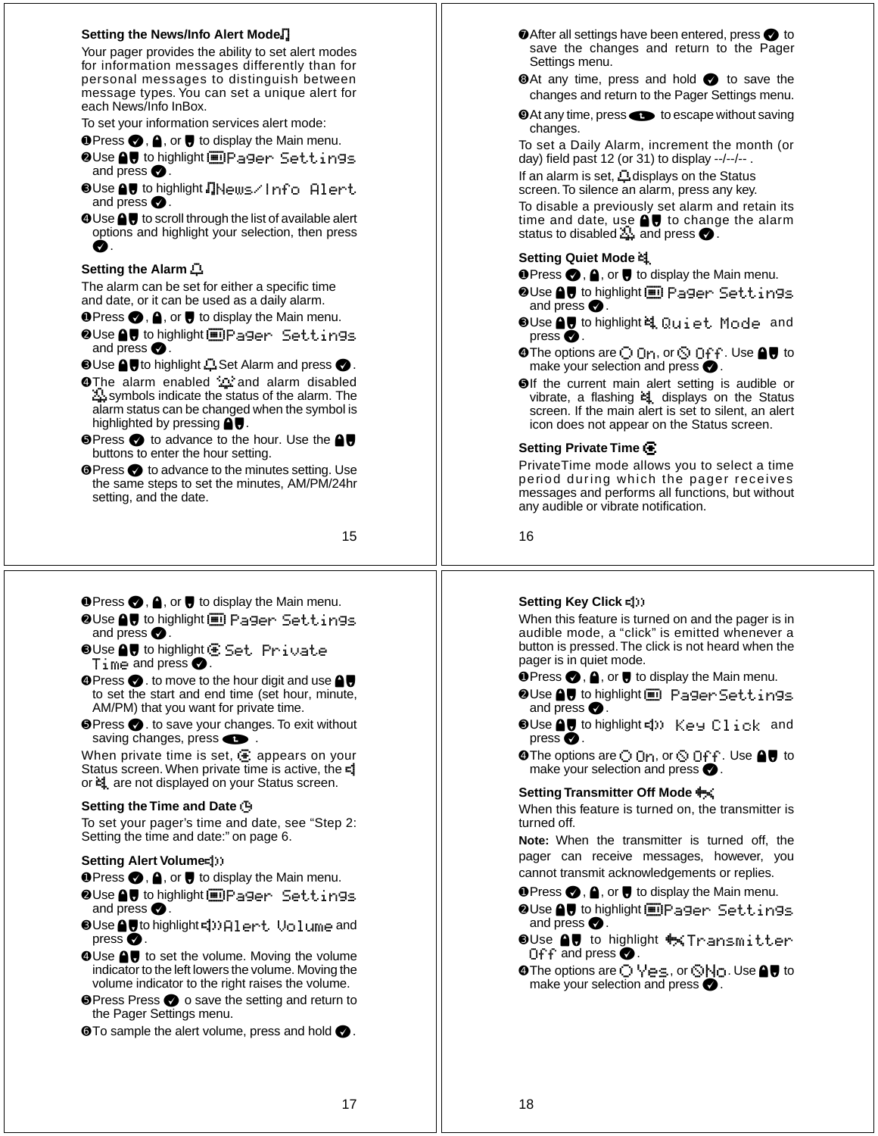## **Setting the News/Info Alert Mode** L

Your pager provides the ability to set alert modes for information messages differently than for personal messages to distinguish between message types. You can set a unique alert for each News/Info InBox.

To set your information services alert mode:

- **O** Press ●, A, or to display the Main menu.
- **⊘Use AU** to highlight in Pager Settings and press  $\bullet$ .
- ➌Use !# to highlight LNews/Info Alert and press  $\bullet$ .
- **O**Use **A**, to scroll through the list of available alert options and highlight your selection, then press  $\boldsymbol{a}$

## **Setting the Alarm**  K

The alarm can be set for either a specific time and date, or it can be used as a daily alarm.

- **O** Press  $\bigcirc$ , **A**, or **H** to display the Main menu.
- **OUse AV** to highlight **iDPager** Settings and press  $\bullet$ .

 $\bullet$  Use  $\bigcirc$   $\bullet$  to highlight  $\Box$  Set Alarm and press  $\bullet$  .

- **O**The alarm enabled  $\cdots$  and alarm disabled symbols indicate the status of the alarm. The alarm status can be changed when the symbol is highlighted by pressing  $\bigoplus$ .
- **I Press to advance to the hour. Use the △** buttons to enter the hour setting.
- **O** Press to advance to the minutes setting. Use the same steps to set the minutes, AM/PM/24hr setting, and the date.

15

- **O** Press ●, A, or to display the Main menu.
- $\bullet$  Use  $\spadesuit\spadesuit$  to highlight  $\blacksquare$  Pager Settings and press  $\bullet$ .
- $\bullet$ Use $\,\blacksquare\,\blacksquare\,$  to highlight  $\blacksquare\,$  Set. Private  $Time$  and press  $\bullet$ .
- $\bullet$  Press  $\bullet$  . to move to the hour digit and use  $\bullet$ to set the start and end time (set hour, minute, AM/PM) that you want for private time.
- **<sup>●</sup>Press ●**. to save your changes. To exit without saving changes, press  $\bullet$ .

When private time is set,  $\mathbf{\Xi}$  appears on your Status screen. When private time is active, the  $=$ or  $\equiv$  are not displayed on your Status screen.

#### **Setting the Time and Date**  M

To set your pager's time and date, see "Step 2: Setting the time and date:" on page 6.

#### **Setting Alert Volume** <

- **O** Press ●, A, or to display the Main menu.
- ➋Use !# to highlight :Pager Settings and press  $\bullet$ .
- ➌Use !#to highlight <Alert Volume and press  $\bullet$ .
- **O**Use **A**, to set the volume. Moving the volume indicator to the left lowers the volume. Moving the volume indicator to the right raises the volume.
- **I** Press Press o save the setting and return to the Pager Settings menu.
- $\bullet$  To sample the alert volume, press and hold  $\bullet$ .
- After all settings have been entered, press to save the changes and return to the Pager Settings menu.
- **At any time, press and hold to save the** changes and return to the Pager Settings menu.
- **O** At any time, press **to escape without saving** changes.

To set a Daily Alarm, increment the month (or day) field past 12 (or 31) to display --/--/-- .

If an alarm is set,  $\Box$  displays on the Status screen. To silence an alarm, press any key.

To disable a previously set alarm and retain its time and date, use  $\bigcirc$  to change the alarm status to disabled  $\mathbb{R}$  and press  $\bullet$ .

## **Setting Quiet Mode**  k

- **O** Press ●, A, or to display the Main menu.
- $\bullet$  Use  $\spadesuit\spadesuit$  to highlight  $\blacksquare$  Pager Settings and press  $\bullet$ .
- ➌Use !# to highlight k Quiet Mode and press  $\bullet$ .
- $\bullet$  The options are  $\bigcirc$   $\circ$  n, or  $\bigcirc$   $\circ$  f $\cdot$  Use  $\bullet$   $\bullet$  to make your selection and press  $\bullet$  .
- ➎If the current main alert setting is audible or vibrate, a flashing  $\approx$  displays on the Status screen. If the main alert is set to silent, an alert icon does not appear on the Status screen.

## **Setting Private Time**  h

**O** After all settings have been entered, press<br>save the changes and return to the F<br>settings menu.<br> **O** At any time, press and hold  $\bullet$  to sav<br>
changes and return to the Pager Settings r<br> **O** At any time, press  $\bullet$  to PrivateTime mode allows you to select a time period during which the pager receives messages and performs all functions, but without any audible or vibrate notification.

## **Setting Key Click**  <

When this feature is turned on and the pager is in audible mode, a "click" is emitted whenever a button is pressed. The click is not heard when the pager is in quiet mode.

**O Press , A**, or **U** to display the Main menu.

- ➋Use !# to highlight : PagerSettings and press  $\bullet$ .
- ➌Use !# to highlight < Key Click and press  $\bullet$ .
- $\bullet$  The options are  $\bigcirc$   $\mathbb{O}$ n, or  $\bigcirc$   $\mathbb{O}$ f $\mathfrak{f}$  . Use  $\spadesuit\spadesuit$  to make your selection and press  $\bullet$  .

## **Setting Transmitter Off Mode**  a

When this feature is turned on, the transmitter is turned off.

**Note:** When the transmitter is turned off, the pager can receive messages, however, you cannot transmit acknowledgements or replies.

**O Press , A**, or **U** to display the Main menu.

- **OUse AU** to highlight **i** Pager Settings and press  $\bullet$ .
- ©Use AU to highlight †≼Transmitter Of f and press  $\bigcirc$ .
- **o** The options are ◯ Ӌ่⊖\_s, or ☉No. Use ≙ U to make your selection and press  $\bullet$  .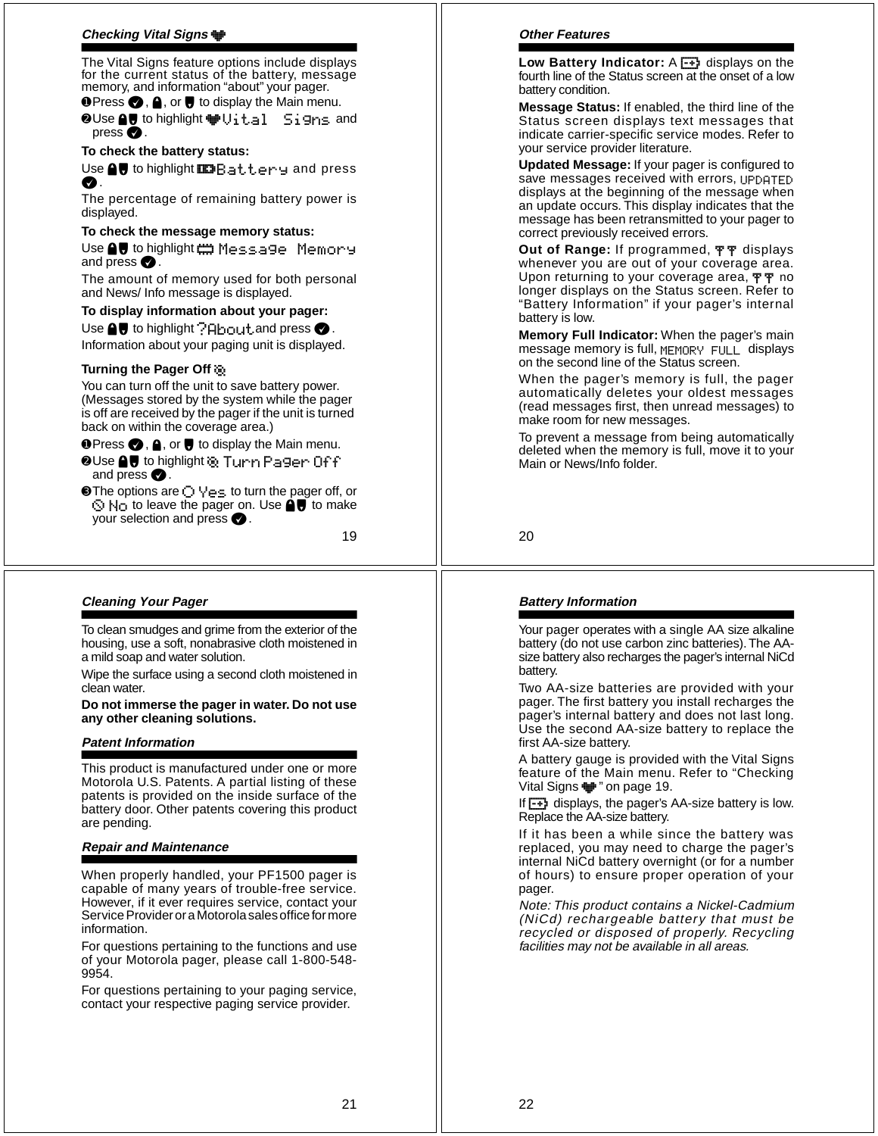# **Checking Vital Signs**  ;

The Vital Signs feature options include displays for the current status of the battery, message memory, and information "about" your pager.

**O** Press ●, A, or ● to display the Main menu.

**⊘Use eV** to highlight †Vital Signs and press  $\bullet$ .

#### **To check the battery status:**

Use  $\bigcirc$  to highlight  $\Box$   $\Box$   $\Box$   $\Box$   $\bot$   $\bot$   $\vdash$   $\bot$   $\Box$  and press  $\bullet$  .

The percentage of remaining battery power is displayed.

# **To check the message memory status:**

Use ● U to highlight ₩ Message Memory and press  $\bullet$ .

The amount of memory used for both personal and News/ Info message is displayed.

# **To display information about your pager:**

Use  $\bigcirc$  to highlight  $?$  About and press  $\bigcirc$  . Information about your paging unit is displayed.

## **Turning the Pager Off**  I

You can turn off the unit to save battery power. (Messages stored by the system while the pager is off are received by the pager if the unit is turned back on within the coverage area.)

**O** Press ●, A, or ● to display the Main menu.

- ➋Use !# to highlight I Turn Pager Off and press  $\bullet$ .
- **❸** The options are ◯  $\forall$ es to turn the pager off, or  $\Diamond$  No to leave the pager on. Use  $\bigcirc$  to make your selection and press  $\bullet$ .

19

# **Cleaning Your Pager**

To clean smudges and grime from the exterior of the housing, use a soft, nonabrasive cloth moistened in a mild soap and water solution.

Wipe the surface using a second cloth moistened in clean water.

**Do not immerse the pager in water. Do not use any other cleaning solutions.**

# **Patent Information**

This product is manufactured under one or more Motorola U.S. Patents. A partial listing of these patents is provided on the inside surface of the battery door. Other patents covering this product are pending.

#### **Repair and Maintenance**

When properly handled, your PF1500 pager is capable of many years of trouble-free service. However, if it ever requires service, contact your Service Provider or a Motorola sales office for more information.

For questions pertaining to the functions and use of your Motorola pager, please call 1-800-548- 9954.

For questions pertaining to your paging service, contact your respective paging service provider.

#### **Other Features**

Low Battery Indicator: A **-** displays on the fourth line of the Status screen at the onset of a low battery condition.

**Message Status:** If enabled, the third line of the Status screen displays text messages that indicate carrier-specific service modes. Refer to your service provider literature.

**Updated Message:** If your pager is configured to save messages received with errors, UPDATED displays at the beginning of the message when an update occurs. This display indicates that the message has been retransmitted to your pager to correct previously received errors.

Out of Range: If programmed, 平平 displays whenever you are out of your coverage area. Upon returning to your coverage area, TT no longer displays on the Status screen. Refer to "Battery Information" if your pager's internal battery is low.

**Memory Full Indicator:** When the pager's main message memory is full, MEMORY FULL displays on the second line of the Status screen.

When the pager's memory is full, the pager automatically deletes your oldest messages (read messages first, then unread messages) to make room for new messages.

To prevent a message from being automatically deleted when the memory is full, move it to your Main or News/Info folder.

20

## **Battery Information**

Your pager operates with a single AA size alkaline battery (do not use carbon zinc batteries). The AAsize battery also recharges the pager's internal NiCd battery.

Two AA-size batteries are provided with your pager. The first battery you install recharges the pager's internal battery and does not last long. Use the second AA-size battery to replace the first AA-size battery.

A battery gauge is provided with the Vital Signs feature of the Main menu. Refer to "Checking Vital Signs  $\blacksquare$ " on page 19.

If  $\boxed{-1}$  displays, the pager's AA-size battery is low. Replace the AA-size battery.

If it has been a while since the battery was replaced, you may need to charge the pager's internal NiCd battery overnight (or for a number of hours) to ensure proper operation of your pager.

Note: This product contains a Nickel-Cadmium (NiCd) rechargeable battery that must be recycled or disposed of properly. Recycling facilities may not be available in all areas.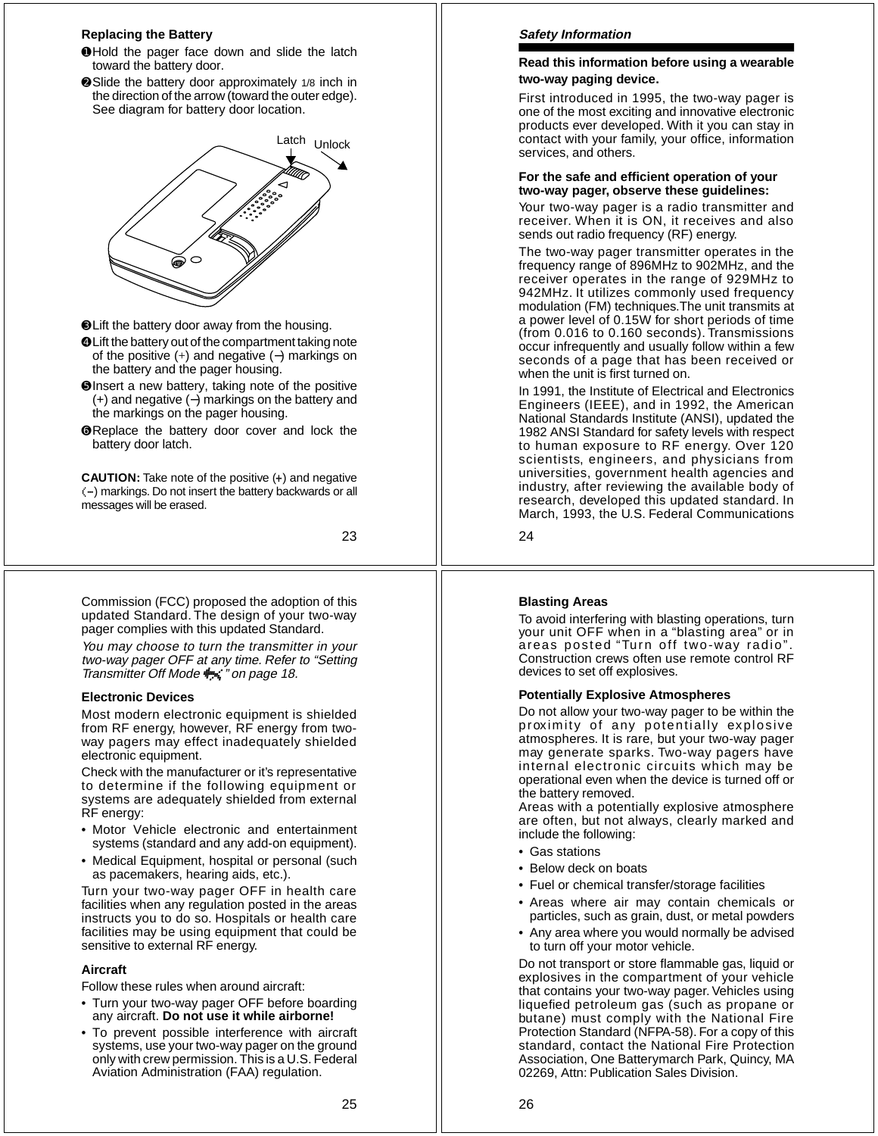#### **Replacing the Battery**

- ➊Hold the pager face down and slide the latch toward the battery door.
- ➋Slide the battery door approximately 1/8 inch in the direction of the arrow (toward the outer edge). See diagram for battery door location.



- ➌Lift the battery door away from the housing.
- ➍Lift the battery out of the compartment taking note of the positive  $(+)$  and negative  $(-)$  markings on the battery and the pager housing.
- ➎Insert a new battery, taking note of the positive (+) and negative ( −) markings on the battery and the markings on the pager housing.
- ➏Replace the battery door cover and lock the battery door latch.

**CAUTION:** Take note of the positive ( +) and negative (-) markings. Do not insert the battery backwards or all messages will be erased.

23

Commission (FCC) proposed the adoption of this updated Standard. The design of your two-way pager complies with this updated Standard.

You may choose to turn the transmitter in your two-way pager OFF at any time. Refer to "Setting<br>Transmitter Off Mode † ‴\* on page 18.

#### **Electronic Devices**

Most modern electronic equipment is shielded from RF energy, however, RF energy from twoway pagers may effect inadequately shielded electronic equipment.

Check with the manufacturer or it's representative to determine if the following equipment or systems are adequately shielded from external RF energy:

- Motor Vehicle electronic and entertainment systems (standard and any add-on equipment).
- Medical Equipment, hospital or personal (such as pacemakers, hearing aids, etc.).

Turn your two-way pager OFF in health care facilities when any regulation posted in the areas instructs you to do so. Hospitals or health care facilities may be using equipment that could be sensitive to external RF energy.

#### **Aircraft**

Follow these rules when around aircraft:

- Turn your two-way pager OFF before boarding any aircraft. **Do not use it while airborne!**
- To prevent possible interference with aircraft systems, use your two-way pager on the ground only with crew permission. This is a U.S. Federal Aviation Administration (FAA) regulation.

# **Safety Information**

## **Read this information before using a wearable two-way paging device.**

First introduced in 1995, the two-way pager is one of the most exciting and innovative electronic products ever developed. With it you can stay in contact with your family, your office, information services, and others.

## **For the safe and efficient operation of your two-way pager, observe these guidelines:**

Your two-way pager is a radio transmitter and receiver. When it is ON, it receives and also sends out radio frequency (RF) energy.

The two-way pager transmitter operates in the frequency range of 896MHz to 902MHz, and the receiver operates in the range of 929MHz to 942MHz. It utilizes commonly used frequency modulation (FM) techniques.The unit transmits at a power level of 0.15W for short periods of time (from 0.016 to 0.160 seconds). Transmissions occur infrequently and usually follow within a few seconds of a page that has been received or when the unit is first turned on.

In 1991, the Institute of Electrical and Electronics Engineers (IEEE), and in 1992, the American National Standards Institute (ANSI), updated the 1982 ANSI Standard for safety levels with respect to human exposure to RF energy. Over 120 scientists, engineers, and physicians from universities, government health agencies and industry, after reviewing the available body of research, developed this updated standard. In March, 1993, the U.S. Federal Communications

24

## **Blasting Areas**

To avoid interfering with blasting operations, turn your unit OFF when in a "blasting area" or in areas posted "Turn off two-way radio" Construction crews often use remote control RF devices to set off explosives.

#### **Potentially Explosive Atmospheres**

Do not allow your two-way pager to be within the proximity of any potentially explosive atmospheres. It is rare, but your two-way pager may generate sparks. Two-way pagers have internal electronic circuits which may be operational even when the device is turned off or the battery removed.

Areas with a potentially explosive atmosphere are often, but not always, clearly marked and include the following:

- Gas stations
- Below deck on boats
- Fuel or chemical transfer/storage facilities
- Areas where air may contain chemicals or particles, such as grain, dust, or metal powders
- Any area where you would normally be advised to turn off your motor vehicle.

Do not transport or store flammable gas, liquid or explosives in the compartment of your vehicle that contains your two-way pager. Vehicles using liquefied petroleum gas (such as propane or butane) must comply with the National Fire Protection Standard (NFPA-58). For a copy of this standard, contact the National Fire Protection Association, One Batterymarch Park, Quincy, MA 02269, Attn: Publication Sales Division.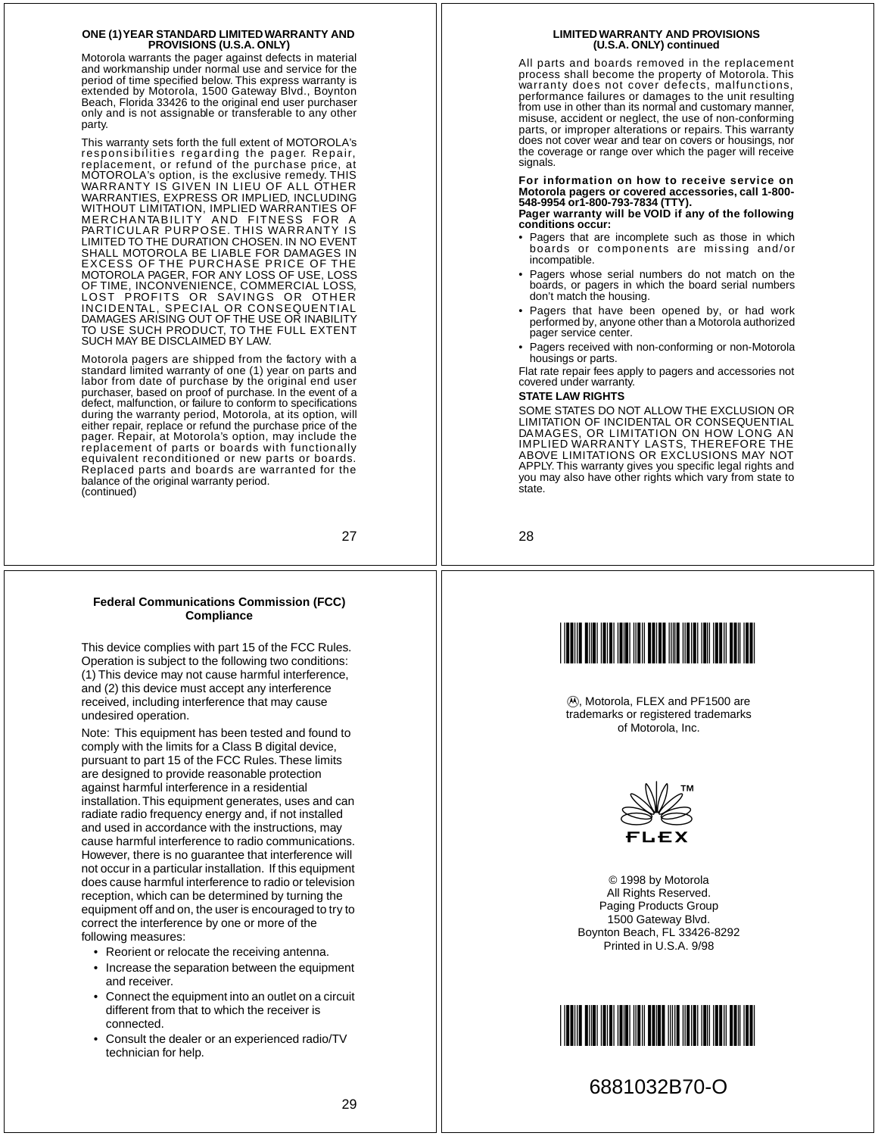#### **ONE (1) YEAR STANDARD LIMITED WARRANTY AND PROVISIONS (U.S.A. ONLY)**

Motorola warrants the pager against defects in material and workmanship under normal use and service for the period of time specified below. This express warranty is extended by Motorola, 1500 Gateway Blvd., Boynton Beach, Florida 33426 to the original end user purchaser only and is not assignable or transferable to any other party.

This warranty sets forth the full extent of MOTOROLA's responsibilities regarding the pager. Repair, replacement, or refund of the purchase price, at MOTOROLA's option, is the exclusive remedy. THIS WARRANTY IS GIVEN IN LIEU OF ALL OTHER WARRANTIES, EXPRESS OR IMPLIED, INCLUDING WITHOUT LIMITATION, IMPLIED WARRANTIES OF<br>MERCHANTABILITY <sup>7</sup> AND FITNESS FOR A<br>PARTICULAR PURPOSE. THIS WARRANTY IS<br>LIMITED TO THE DURATION CHOSEN. IN NO EVENT SHALL MOTOROLA BE LIABLE FOR DAMAGES IN EXCESS OF THE PURCHASE PRICE OF THE MOTOROLA PAGER, FOR ANY LOSS OF USE, LOSS OF TIME, INCONVENIENCE, COMMERCIAL LOSS,<br>LOST PROFITS OR SAVINGS OR<br>INCIDENTAL, SPECIAL OR CONSEQUENTIAL<br>DAMAGES ARISING OUT OF THE USE OR INABILITY<br>TO USE SUCH PRODUCT, TO THE FULL EXTENT SUCH MAY BE DISCLAIMED BY LAW.

Motorola pagers are shipped from the factory with a standard limited warranty of one (1) year on parts and labor from date of purchase by the original end user purchaser, based on proof of purchase. In the event of a defect, malfunction, or failure to conform to specifications during the warranty period, Motorola, at its option, will either repair, replace or refund the purchase price of the pager. Repair, at Motorola's option, may include the replacement of parts or boards with functionally equivalent reconditioned or new parts or boards. Replaced parts and boards are warranted for the balance of the original warranty period. (continued)

27

#### **Federal Communications Commission (FCC) Compliance**

This device complies with part 15 of the FCC Rules. Operation is subject to the following two conditions: (1) This device may not cause harmful interference, and (2) this device must accept any interference received, including interference that may cause undesired operation.

Note: This equipment has been tested and found to comply with the limits for a Class B digital device, pursuant to part 15 of the FCC Rules. These limits are designed to provide reasonable protection against harmful interference in a residential installation. This equipment generates, uses and can radiate radio frequency energy and, if not installed and used in accordance with the instructions, may cause harmful interference to radio communications. However, there is no guarantee that interference will not occur in a particular installation. If this equipment does cause harmful interference to radio or television reception, which can be determined by turning the equipment off and on, the user is encouraged to try to correct the interference by one or more of the following measures:

- Reorient or relocate the receiving antenna.
- Increase the separation between the equipment and receiver.
- Connect the equipment into an outlet on a circuit different from that to which the receiver is connected.
- Consult the dealer or an experienced radio/TV technician for help.

#### **LIMITED WARRANTY AND PROVISIONS (U.S.A. ONLY) continued**

All parts and boards removed in the replacement process shall become the property of Motorola. This warranty does not cover defects, malfunctions, performance failures or damages to the unit resulting from use in other than its normal and customary manner, misuse, accident or neglect, the use of non-conforming parts, or improper alterations or repairs. This warranty does not cover wear and tear on covers or housings, nor the coverage or range over which the pager will receive signals.

**For information on how to receive service on Motorola pagers or covered accessories, call 1-800- 548-9954 or1-800-793-7834 (TTY). Pager warranty will be VOID if any of the following**

**conditions occur:**

- Pagers that are incomplete such as those in which boards or components are missing and/or incompatible.
- Pagers whose serial numbers do not match on the boards, or pagers in which the board serial numbers don't match the housing.
- Pagers that have been opened by, or had work performed by, anyone other than a Motorola authorized pager service center.
- Pagers received with non-conforming or non-Motorola housings or parts.

Flat rate repair fees apply to pagers and accessories not covered under warranty.

#### **STATE LAW RIGHTS**

SOME STATES DO NOT ALLOW THE EXCLUSION OR<br>LIMITATION OF INCIDENTAL OR CONSEQUENTIAL<br>DAMAGES, OR LIMITATION ON HOW LONG AN<br>IMPLIED WARRANTY LASTS, THEREFORE THE<br>ABOVE LIMITATIONS OR EXCLUSIONS MAY NOT APPLY. This warranty gives you specific legal rights and you may also have other rights which vary from state to state.

28



1, Motorola, FLEX and PF1500 are trademarks or registered trademarks of Motorola, Inc.



© 1998 by Motorola All Rights Reserved. Paging Products Group 1500 Gateway Blvd. Boynton Beach, FL 33426-8292 Printed in U.S.A. 9/98



# 6881032B70-O